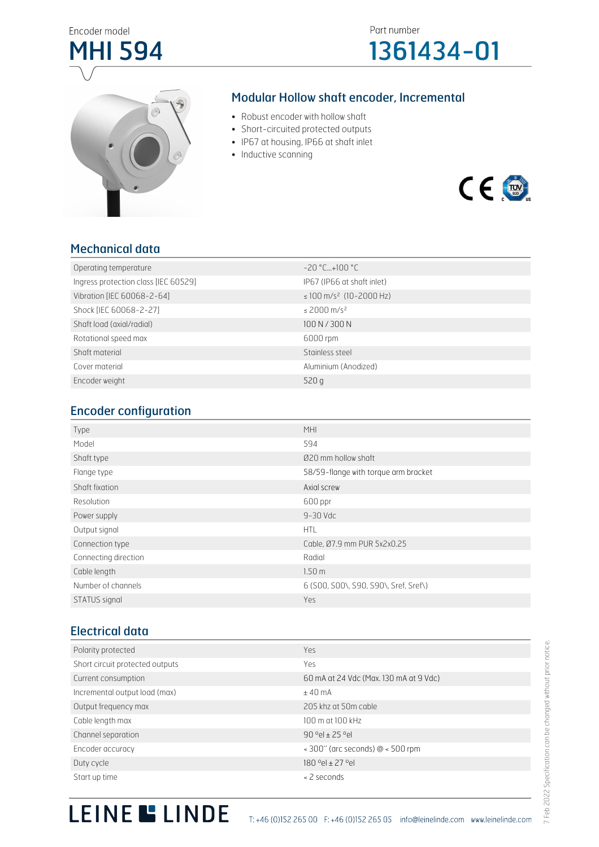



#### Modular Hollow shaft encoder, Incremental

- Robust encoder with hollow shaft
- Short-circuited protected outputs
- IP67 at housing, IP66 at shaft inlet
- Inductive scanning



#### Mechanical data

| Operating temperature                | $-20$ °C+100 °C                          |
|--------------------------------------|------------------------------------------|
| Ingress protection class [IEC 60529] | IP67 (IP66 at shaft inlet)               |
| Vibration [IEC 60068-2-64]           | $\leq$ 100 m/s <sup>2</sup> (10-2000 Hz) |
| Shock [IEC 60068-2-27]               | $\leq$ 2000 m/s <sup>2</sup>             |
| Shaft load (axial/radial)            | 100 N / 300 N                            |
| Rotational speed max                 | 6000 rpm                                 |
| Shaft material                       | Stainless steel                          |
| Cover material                       | Aluminium (Anodized)                     |
| Encoder weight                       | 520q                                     |

#### Encoder configuration

| Type                 | <b>MHI</b>                            |
|----------------------|---------------------------------------|
| Model                | 594                                   |
| Shaft type           | Ø20 mm hollow shaft                   |
| Flange type          | 58/59-flange with torque arm bracket  |
| Shaft fixation       | Axial screw                           |
| Resolution           | 600 ppr                               |
| Power supply         | $9 - 30$ Vdc                          |
| Output signal        | <b>HTL</b>                            |
| Connection type      | Cable, Ø7.9 mm PUR 5x2x0.25           |
| Connecting direction | Radial                                |
| Cable length         | 1.50 <sub>m</sub>                     |
| Number of channels   | 6 (S00, S00\, S90, S90\, Sref, Sref\) |
| STATUS signal        | Yes                                   |

#### Electrical data

| Polarity protected              | Yes                                                     |
|---------------------------------|---------------------------------------------------------|
| Short circuit protected outputs | Yes                                                     |
| Current consumption             | 60 mA at 24 Vdc (Max. 130 mA at 9 Vdc)                  |
| Incremental output load (max)   | ±40mA                                                   |
| Output frequency max            | 205 khz at 50m cable                                    |
| Cable length max                | 100 m at 100 kHz                                        |
| Channel separation              | $90$ $9el + 25$ $9el$                                   |
| Encoder accuracy                | $\approx$ 300" (arc seconds) $\omega$ $\approx$ 500 rpm |
| Duty cycle                      | 180 °el ± 27 °el                                        |
| Start up time                   | < 2 seconds                                             |

# LEINE LINDE